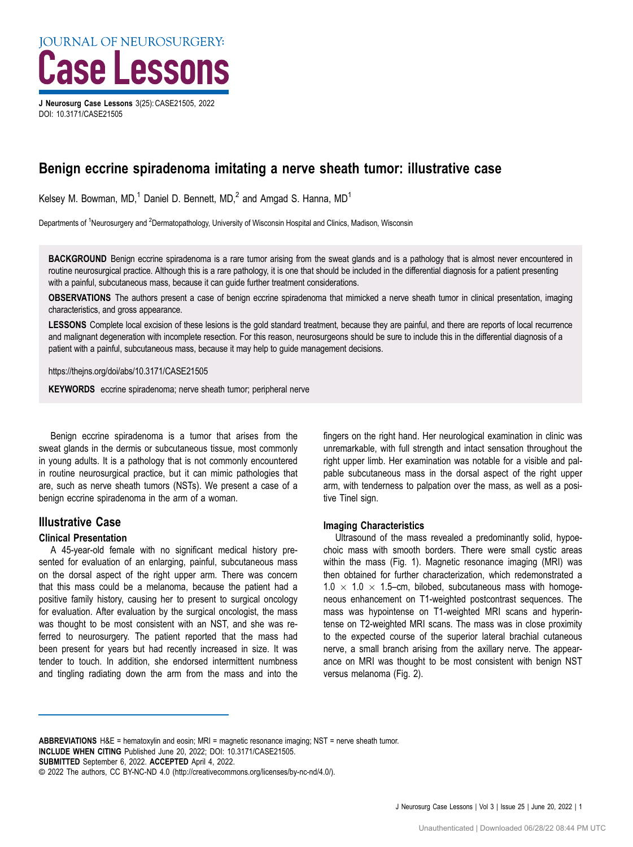# Case Lessons J Neurosurg Case Lessons 3(25): CASE21505, 2022

DOI: [10.3171/CASE21505](https://doi.org/10.3171/CASE21505)

# Benign eccrine spiradenoma imitating a nerve sheath tumor: illustrative case

Kelsey M. Bowman, MD,<sup>1</sup> Daniel D. Bennett, MD,<sup>2</sup> and Amgad S. Hanna, MD<sup>1</sup>

Departments of <sup>1</sup>Neurosurgery and <sup>2</sup>Dermatopathology, University of Wisconsin Hospital and Clinics, Madison, Wisconsin

BACKGROUND Benign eccrine spiradenoma is a rare tumor arising from the sweat glands and is a pathology that is almost never encountered in routine neurosurgical practice. Although this is a rare pathology, it is one that should be included in the differential diagnosis for a patient presenting with a painful, subcutaneous mass, because it can guide further treatment considerations.

OBSERVATIONS The authors present a case of benign eccrine spiradenoma that mimicked a nerve sheath tumor in clinical presentation, imaging characteristics, and gross appearance.

LESSONS Complete local excision of these lesions is the gold standard treatment, because they are painful, and there are reports of local recurrence and malignant degeneration with incomplete resection. For this reason, neurosurgeons should be sure to include this in the differential diagnosis of a patient with a painful, subcutaneous mass, because it may help to guide management decisions.

https://thejns.org/doi/abs/10.3171/CASE21505

KEYWORDS eccrine spiradenoma; nerve sheath tumor; peripheral nerve

Benign eccrine spiradenoma is a tumor that arises from the sweat glands in the dermis or subcutaneous tissue, most commonly in young adults. It is a pathology that is not commonly encountered in routine neurosurgical practice, but it can mimic pathologies that are, such as nerve sheath tumors (NSTs). We present a case of a benign eccrine spiradenoma in the arm of a woman.

# Illustrative Case

## Clinical Presentation

A 45-year-old female with no significant medical history presented for evaluation of an enlarging, painful, subcutaneous mass on the dorsal aspect of the right upper arm. There was concern that this mass could be a melanoma, because the patient had a positive family history, causing her to present to surgical oncology for evaluation. After evaluation by the surgical oncologist, the mass was thought to be most consistent with an NST, and she was referred to neurosurgery. The patient reported that the mass had been present for years but had recently increased in size. It was tender to touch. In addition, she endorsed intermittent numbness and tingling radiating down the arm from the mass and into the fingers on the right hand. Her neurological examination in clinic was unremarkable, with full strength and intact sensation throughout the right upper limb. Her examination was notable for a visible and palpable subcutaneous mass in the dorsal aspect of the right upper arm, with tenderness to palpation over the mass, as well as a positive Tinel sign.

# Imaging Characteristics

Ultrasound of the mass revealed a predominantly solid, hypoechoic mass with smooth borders. There were small cystic areas within the mass [\(Fig. 1\)](#page-1-0). Magnetic resonance imaging (MRI) was then obtained for further characterization, which redemonstrated a  $1.0 \times 1.0 \times 1.5$ –cm, bilobed, subcutaneous mass with homogeneous enhancement on T1-weighted postcontrast sequences. The mass was hypointense on T1-weighted MRI scans and hyperintense on T2-weighted MRI scans. The mass was in close proximity to the expected course of the superior lateral brachial cutaneous nerve, a small branch arising from the axillary nerve. The appearance on MRI was thought to be most consistent with benign NST versus melanoma [\(Fig. 2](#page-1-0)).

ABBREVIATIONS H&E = hematoxylin and eosin; MRI = magnetic resonance imaging; NST = nerve sheath tumor. INCLUDE WHEN CITING Published June 20, 2022; DOI: 10.3171/CASE21505.

SUBMITTED September 6, 2022. ACCEPTED April 4, 2022.

<sup>©</sup> 2022 The authors, CC BY-NC-ND 4.0 ([http://creativecommons.org/licenses/by-nc-nd/4.0/\)](https://creativecommons.org/licenses/by-nc-nd/4.0/).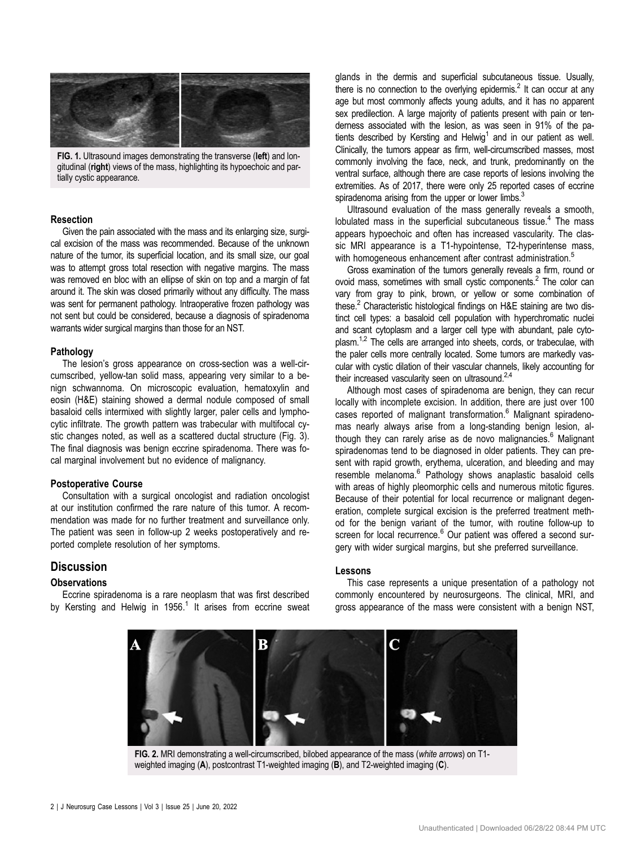<span id="page-1-0"></span>

FIG. 1. Ultrasound images demonstrating the transverse (left) and longitudinal (right) views of the mass, highlighting its hypoechoic and partially cystic appearance.

#### Resection

Given the pain associated with the mass and its enlarging size, surgical excision of the mass was recommended. Because of the unknown nature of the tumor, its superficial location, and its small size, our goal was to attempt gross total resection with negative margins. The mass was removed en bloc with an ellipse of skin on top and a margin of fat around it. The skin was closed primarily without any difficulty. The mass was sent for permanent pathology. Intraoperative frozen pathology was not sent but could be considered, because a diagnosis of spiradenoma warrants wider surgical margins than those for an NST.

#### Pathology

The lesion's gross appearance on cross-section was a well-circumscribed, yellow-tan solid mass, appearing very similar to a benign schwannoma. On microscopic evaluation, hematoxylin and eosin (H&E) staining showed a dermal nodule composed of small basaloid cells intermixed with slightly larger, paler cells and lymphocytic infiltrate. The growth pattern was trabecular with multifocal cystic changes noted, as well as a scattered ductal structure ([Fig. 3](#page-2-0)). The final diagnosis was benign eccrine spiradenoma. There was focal marginal involvement but no evidence of malignancy.

#### Postoperative Course

Consultation with a surgical oncologist and radiation oncologist at our institution confirmed the rare nature of this tumor. A recommendation was made for no further treatment and surveillance only. The patient was seen in follow-up 2 weeks postoperatively and reported complete resolution of her symptoms.

### **Discussion**

#### **Observations**

Eccrine spiradenoma is a rare neoplasm that was first described by Kersting and Helwig in [1](#page-2-0)956.<sup>1</sup> It arises from eccrine sweat glands in the dermis and superficial subcutaneous tissue. Usually, there is no connection to the overlying epidermis.<sup>2</sup> It can occur at any age but most commonly affects young adults, and it has no apparent sex predilection. A large majority of patients present with pain or tenderness associated with the lesion, as was seen in 91% of the pa-tients described by Kersting and Helwig<sup>[1](#page-2-0)</sup> and in our patient as well. Clinically, the tumors appear as firm, well-circumscribed masses, most commonly involving the face, neck, and trunk, predominantly on the ventral surface, although there are case reports of lesions involving the extremities. As of 2017, there were only 25 reported cases of eccrine spiradenoma arising from the upper or lower limbs. $3$ 

Ultrasound evaluation of the mass generally reveals a smooth, lobulated mass in the superficial subcutaneous tissue.<sup>[4](#page-2-0)</sup> The mass appears hypoechoic and often has increased vascularity. The classic MRI appearance is a T1-hypointense, T2-hyperintense mass, with homogeneous enhancement after contrast administration.<sup>[5](#page-2-0)</sup>

Gross examination of the tumors generally reveals a firm, round or ovoid mass, sometimes with small cystic components.<sup>2</sup> The color can vary from gray to pink, brown, or yellow or some combination of these.<sup>2</sup> Characteristic histological findings on H&E staining are two distinct cell types: a basaloid cell population with hyperchromatic nuclei and scant cytoplasm and a larger cell type with abundant, pale cyto-plasm.<sup>[1,2](#page-2-0)</sup> The cells are arranged into sheets, cords, or trabeculae, with the paler cells more centrally located. Some tumors are markedly vascular with cystic dilation of their vascular channels, likely accounting for their increased vascularity seen on ultrasound. $2,4$ 

Although most cases of spiradenoma are benign, they can recur locally with incomplete excision. In addition, there are just over 100 cases reported of malignant transformation.<sup>[6](#page-2-0)</sup> Malignant spiradenomas nearly always arise from a long-standing benign lesion, al-though they can rarely arise as de novo malignancies.<sup>[6](#page-2-0)</sup> Malignant spiradenomas tend to be diagnosed in older patients. They can present with rapid growth, erythema, ulceration, and bleeding and may resemble melanoma.<sup>6</sup> Pathology shows anaplastic basaloid cells with areas of highly pleomorphic cells and numerous mitotic figures. Because of their potential for local recurrence or malignant degeneration, complete surgical excision is the preferred treatment method for the benign variant of the tumor, with routine follow-up to screen for local recurrence.<sup>[6](#page-2-0)</sup> Our patient was offered a second surgery with wider surgical margins, but she preferred surveillance.

#### Lessons

This case represents a unique presentation of a pathology not commonly encountered by neurosurgeons. The clinical, MRI, and gross appearance of the mass were consistent with a benign NST,



FIG. 2. MRI demonstrating a well-circumscribed, bilobed appearance of the mass (white arrows) on T1weighted imaging (A), postcontrast T1-weighted imaging (B), and T2-weighted imaging (C).